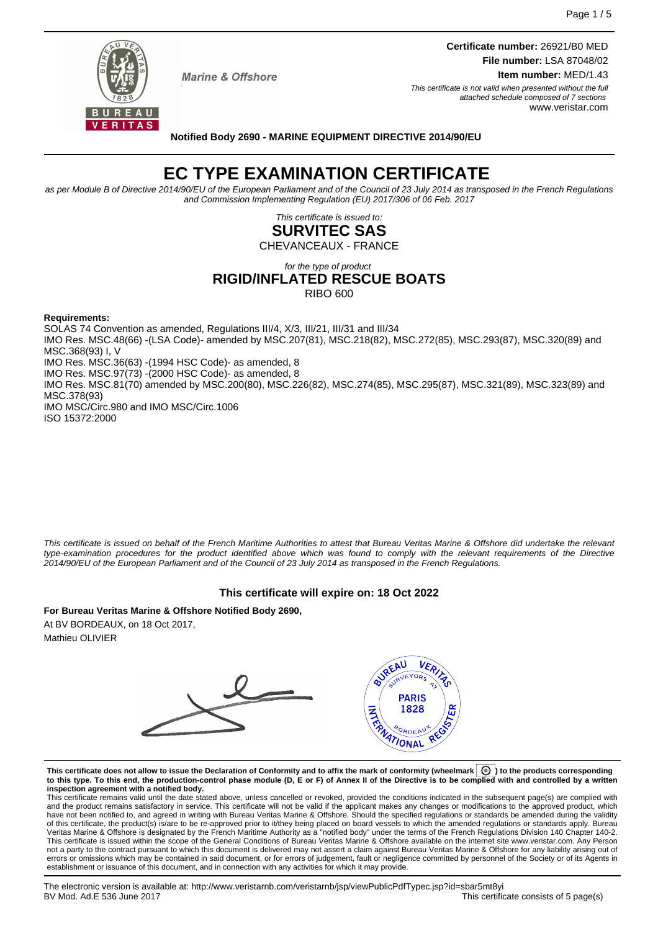

**Marine & Offshore** 

**Certificate number:** 26921/B0 MED **File number:** LSA 87048/02 **Item number:** MED/1.43

This certificate is not valid when presented without the full attached schedule composed of 7 sections www.veristar.com

**Notified Body 2690 - MARINE EQUIPMENT DIRECTIVE 2014/90/EU**

# **EC TYPE EXAMINATION CERTIFICATE**

as per Module B of Directive 2014/90/EU of the European Parliament and of the Council of 23 July 2014 as transposed in the French Regulations and Commission Implementing Regulation (EU) 2017/306 of 06 Feb. 2017

> This certificate is issued to: **SURVITEC SAS**

CHEVANCEAUX - FRANCE

for the type of product

# **RIGID/INFLATED RESCUE BOATS**

RIBO 600

**Requirements:**

SOLAS 74 Convention as amended, Regulations III/4, X/3, III/21, III/31 and III/34

IMO Res. MSC.48(66) -(LSA Code)- amended by MSC.207(81), MSC.218(82), MSC.272(85), MSC.293(87), MSC.320(89) and MSC.368(93) I, V

IMO Res. MSC.36(63) -(1994 HSC Code)- as amended, 8

IMO Res. MSC.97(73) -(2000 HSC Code)- as amended, 8

IMO Res. MSC.81(70) amended by MSC.200(80), MSC.226(82), MSC.274(85), MSC.295(87), MSC.321(89), MSC.323(89) and MSC.378(93)

IMO MSC/Circ.980 and IMO MSC/Circ.1006 ISO 15372:2000

This certificate is issued on behalf of the French Maritime Authorities to attest that Bureau Veritas Marine & Offshore did undertake the relevant type-examination procedures for the product identified above which was found to comply with the relevant requirements of the Directive 2014/90/EU of the European Parliament and of the Council of 23 July 2014 as transposed in the French Regulations.

# **This certificate will expire on: 18 Oct 2022**

**For Bureau Veritas Marine & Offshore Notified Body 2690,** At BV BORDEAUX, on 18 Oct 2017,

Mathieu OLIVIER



**This certificate does not allow to issue the Declaration of Conformity and to affix the mark of conformity (wheelmark ) to the products corresponding to this type. To this end, the production-control phase module (D, E or F) of Annex II of the Directive is to be complied with and controlled by a written inspection agreement with a notified body.**

This certificate remains valid until the date stated above, unless cancelled or revoked, provided the conditions indicated in the subsequent page(s) are complied with and the product remains satisfactory in service. This certificate will not be valid if the applicant makes any changes or modifications to the approved product, which have not been notified to, and agreed in writing with Bureau Veritas Marine & Offshore. Should the specified regulations or standards be amended during the validity of this certificate, the product(s) is/are to be re-approved prior to it/they being placed on board vessels to which the amended regulations or standards apply. Bureau<br>Veritas Marine & Offshore is designated by the French not a party to the contract pursuant to which this document is delivered may not assert a claim against Bureau Veritas Marine & Offshore for any liability arising out of errors or omissions which may be contained in said document, or for errors of judgement, fault or negligence committed by personnel of the Society or of its Agents in establishment or issuance of this document, and in connection with any activities for which it may provide.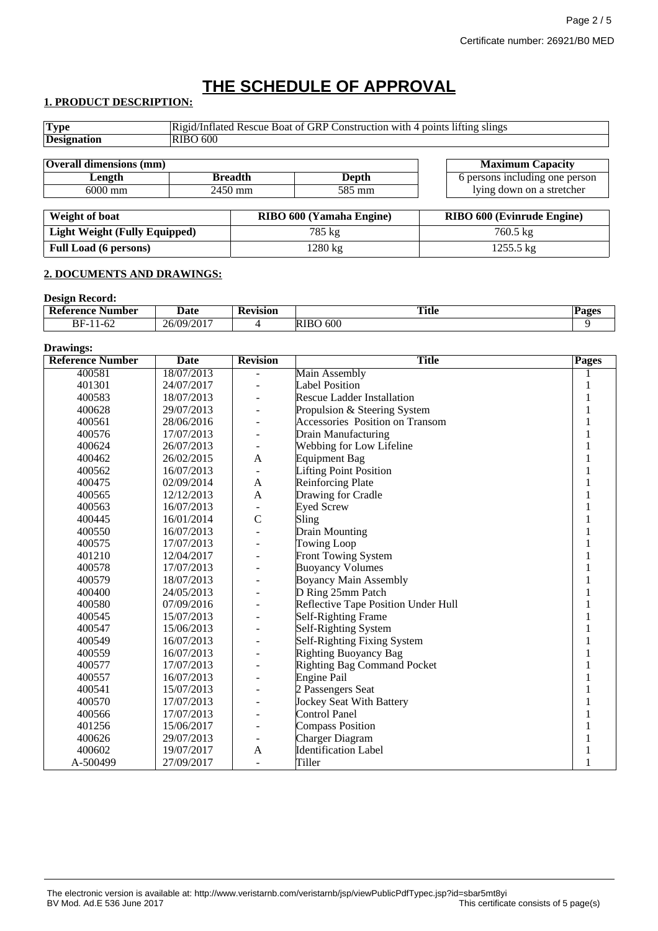# **THE SCHEDULE OF APPROVAL**

# **1. PRODUCT DESCRIPTION:**

| <b>Type</b>                    |                | Rigid/Inflated Rescue Boat of GRP Construction with 4 points lifting slings |                                   |  |  |
|--------------------------------|----------------|-----------------------------------------------------------------------------|-----------------------------------|--|--|
| <b>Designation</b>             | RIBO 600       |                                                                             |                                   |  |  |
|                                |                |                                                                             |                                   |  |  |
| <b>Overall dimensions (mm)</b> |                |                                                                             | <b>Maximum Capacity</b>           |  |  |
| Length                         | <b>Breadth</b> | <b>Depth</b>                                                                | 6 persons including one person    |  |  |
| $6000$ mm                      | $2450$ mm      | 585 mm                                                                      | lying down on a stretcher         |  |  |
|                                |                |                                                                             |                                   |  |  |
| Weight of boat                 |                | RIBO 600 (Yamaha Engine)                                                    | <b>RIBO 600 (Evinrude Engine)</b> |  |  |

| <i>v</i> veight of boat       | $\bf{N}$ DU $\bf{V}$ vvv $\bf{V}$ anitalia Englile | <b>INDO 000 (EVIIII QUE ENGINE)</b> |
|-------------------------------|----------------------------------------------------|-------------------------------------|
| Light Weight (Fully Equipped) | 785 kg                                             | 760.5 kg                            |
| <b>Full Load (6 persons)</b>  | $1280 \text{ kg}$                                  | $1255.5 \text{ kg}$                 |

# **2. DOCUMENTS AND DRAWINGS:**

#### **Design Record:**

| _ _ _ _ _ _ _ _ _ _ _ _ _ _ _ _<br>$\mathbf{D}_{\mathbf{A}}$<br>: Number<br>terence | Jate             | tevision | <b>Title</b>       | 'ages |
|-------------------------------------------------------------------------------------|------------------|----------|--------------------|-------|
| ے<br>BF-<br>' −∪∠<br>. .                                                            | 1/2017<br>26/09/ |          | 600<br><b>RIBO</b> |       |

#### **Drawings:**

| <b>Reference Number</b> | Date       | <b>Revision</b> | <b>Title</b>                        | <b>Pages</b> |
|-------------------------|------------|-----------------|-------------------------------------|--------------|
| 400581                  | 18/07/2013 |                 | Main Assembly                       |              |
| 401301                  | 24/07/2017 |                 | <b>Label Position</b>               |              |
| 400583                  | 18/07/2013 |                 | <b>Rescue Ladder Installation</b>   |              |
| 400628                  | 29/07/2013 |                 | Propulsion & Steering System        |              |
| 400561                  | 28/06/2016 |                 | Accessories Position on Transom     |              |
| 400576                  | 17/07/2013 |                 | Drain Manufacturing                 |              |
| 400624                  | 26/07/2013 | ÷.              | Webbing for Low Lifeline            |              |
| 400462                  | 26/02/2015 | A               | <b>Equipment Bag</b>                |              |
| 400562                  | 16/07/2013 |                 | <b>Lifting Point Position</b>       |              |
| 400475                  | 02/09/2014 | A               | <b>Reinforcing Plate</b>            |              |
| 400565                  | 12/12/2013 | $\mathbf{A}$    | Drawing for Cradle                  |              |
| 400563                  | 16/07/2013 |                 | <b>Eyed Screw</b>                   |              |
| 400445                  | 16/01/2014 | $\mathcal{C}$   | Sling                               |              |
| 400550                  | 16/07/2013 |                 | <b>Drain Mounting</b>               |              |
| 400575                  | 17/07/2013 |                 | <b>Towing Loop</b>                  |              |
| 401210                  | 12/04/2017 |                 | Front Towing System                 |              |
| 400578                  | 17/07/2013 |                 | <b>Buoyancy Volumes</b>             |              |
| 400579                  | 18/07/2013 |                 | <b>Boyancy Main Assembly</b>        |              |
| 400400                  | 24/05/2013 |                 | D Ring 25mm Patch                   |              |
| 400580                  | 07/09/2016 |                 | Reflective Tape Position Under Hull |              |
| 400545                  | 15/07/2013 |                 | Self-Righting Frame                 |              |
| 400547                  | 15/06/2013 |                 | Self-Righting System                |              |
| 400549                  | 16/07/2013 |                 | Self-Righting Fixing System         |              |
| 400559                  | 16/07/2013 |                 | <b>Righting Buoyancy Bag</b>        |              |
| 400577                  | 17/07/2013 |                 | Righting Bag Command Pocket         |              |
| 400557                  | 16/07/2013 |                 | <b>Engine Pail</b>                  |              |
| 400541                  | 15/07/2013 |                 | 2 Passengers Seat                   |              |
| 400570                  | 17/07/2013 |                 | <b>Jockey Seat With Battery</b>     |              |
| 400566                  | 17/07/2013 |                 | <b>Control Panel</b>                |              |
| 401256                  | 15/06/2017 |                 | <b>Compass Position</b>             |              |
| 400626                  | 29/07/2013 |                 | <b>Charger Diagram</b>              |              |
| 400602                  | 19/07/2017 | A               | <b>Identification Label</b>         |              |
| A-500499                | 27/09/2017 |                 | Tiller                              |              |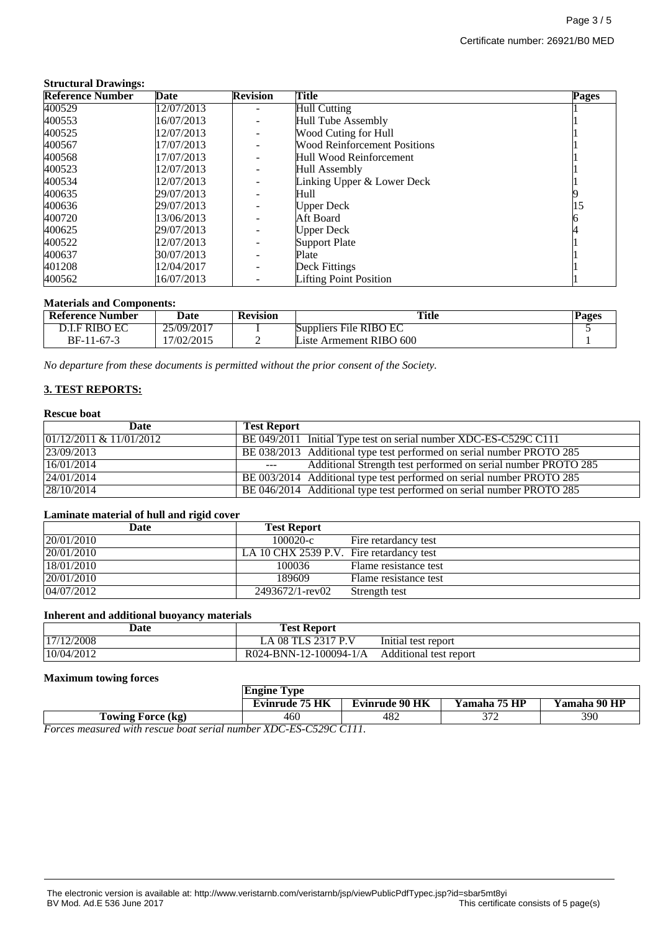#### **Structural Drawings:**

| <b>Reference Number</b> | Date       | <b>Revision</b>          | Title                               | Pages |
|-------------------------|------------|--------------------------|-------------------------------------|-------|
| 400529                  | 12/07/2013 |                          | <b>Hull Cutting</b>                 |       |
| 400553                  | 16/07/2013 |                          | Hull Tube Assembly                  |       |
| 400525                  | 12/07/2013 |                          | Wood Cuting for Hull                |       |
| 400567                  | 17/07/2013 |                          | <b>Wood Reinforcement Positions</b> |       |
| 400568                  | 17/07/2013 |                          | Hull Wood Reinforcement             |       |
| 400523                  | 12/07/2013 |                          | Hull Assembly                       |       |
| 400534                  | 12/07/2013 | $\overline{\phantom{0}}$ | Linking Upper & Lower Deck          |       |
| 400635                  | 29/07/2013 |                          | Hull                                |       |
| 400636                  | 29/07/2013 |                          | <b>Upper Deck</b>                   | 15    |
| 400720                  | 13/06/2013 |                          | Aft Board                           |       |
| 400625                  | 29/07/2013 |                          | <b>Upper Deck</b>                   |       |
| 400522                  | 12/07/2013 |                          | <b>Support Plate</b>                |       |
| 400637                  | 30/07/2013 |                          | Plate                               |       |
| 401208                  | 12/04/2017 |                          | Deck Fittings                       |       |
| 400562                  | 16/07/2013 |                          | <b>Lifting Point Position</b>       |       |

#### **Materials and Components:**

| <b>Reference Number</b> | Date       | <b>Revision</b> | <b>Title</b>            | Pages |
|-------------------------|------------|-----------------|-------------------------|-------|
| D.I.F RIBO EC           | 25/09/2017 |                 | Suppliers File RIBO EC  |       |
| BF-11-67-3              | 17/02/2015 |                 | Liste Armement RIBO 600 |       |

*No departure from these documents is permitted without the prior consent of the Society.*

# **3. TEST REPORTS:**

## **Rescue boat**

| Date                       | <b>Test Report</b>                                                                                                                                                                                                                                                                                                                                                                                                                                            |
|----------------------------|---------------------------------------------------------------------------------------------------------------------------------------------------------------------------------------------------------------------------------------------------------------------------------------------------------------------------------------------------------------------------------------------------------------------------------------------------------------|
| $01/12/2011 \& 11/01/2012$ | BE 049/2011 Initial Type test on serial number XDC-ES-C529C C111                                                                                                                                                                                                                                                                                                                                                                                              |
| 23/09/2013                 | BE 038/2013 Additional type test performed on serial number PROTO 285                                                                                                                                                                                                                                                                                                                                                                                         |
| 16/01/2014                 | Additional Strength test performed on serial number PROTO 285<br>$\frac{1}{2} \frac{1}{2} \frac{1}{2} \frac{1}{2} \frac{1}{2} \frac{1}{2} \frac{1}{2} \frac{1}{2} \frac{1}{2} \frac{1}{2} \frac{1}{2} \frac{1}{2} \frac{1}{2} \frac{1}{2} \frac{1}{2} \frac{1}{2} \frac{1}{2} \frac{1}{2} \frac{1}{2} \frac{1}{2} \frac{1}{2} \frac{1}{2} \frac{1}{2} \frac{1}{2} \frac{1}{2} \frac{1}{2} \frac{1}{2} \frac{1}{2} \frac{1}{2} \frac{1}{2} \frac{1}{2} \frac{$ |
| 24/01/2014                 | BE 003/2014 Additional type test performed on serial number PROTO 285                                                                                                                                                                                                                                                                                                                                                                                         |
| 28/10/2014                 | BE 046/2014 Additional type test performed on serial number PROTO 285                                                                                                                                                                                                                                                                                                                                                                                         |

#### **Laminate material of hull and rigid cover**

| Date       | <b>Test Report</b>                       |                       |
|------------|------------------------------------------|-----------------------|
| 20/01/2010 | $100020-c$                               | Fire retardancy test  |
| 20/01/2010 | LA 10 CHX 2539 P.V. Fire retardancy test |                       |
| 18/01/2010 | 100036                                   | Flame resistance test |
| 20/01/2010 | 189609                                   | Flame resistance test |
| 04/07/2012 | 2493672/1-rev02                          | Strength test         |

## **Inherent and additional buoyancy materials**

| Date       | <b>Test Report</b>     |                        |
|------------|------------------------|------------------------|
| 17/12/2008 | TLS 2317 P.V<br>08     | Initial test report    |
| 10/04/2012 | R024-BNN-12-100094-1/A | Additional test report |

#### **Maximum towing forces**

|                                                                                                                                                                                                                                                             | Engine Tvpe           |                |              |              |
|-------------------------------------------------------------------------------------------------------------------------------------------------------------------------------------------------------------------------------------------------------------|-----------------------|----------------|--------------|--------------|
|                                                                                                                                                                                                                                                             | <b>Evinrude 75 HK</b> | Evinrude 90 HK | Yamaha 75 HP | Yamaha 90 HP |
| Towing Force (kg)                                                                                                                                                                                                                                           | 460                   | 482            | 271          | 390          |
| $F_{\text{2}}$ $\ldots$ $\ldots$ $I_{\text{2}}$ $\ldots$ $I_{\text{2}}$ $\ldots$ $I_{\text{2}}$ $\ldots$ $I_{\text{2}}$ $\ldots$ $I_{\text{2}}$ $\ldots$ $I_{\text{2}}$ $\ldots$ $I_{\text{2}}$ $\ldots$ $I_{\text{2}}$ $\ldots$ $I_{\text{2}}$ $I$ $I$ $I$ |                       |                |              |              |

*Forces measured with rescue boat serial number XDC-ES-C529C C111.*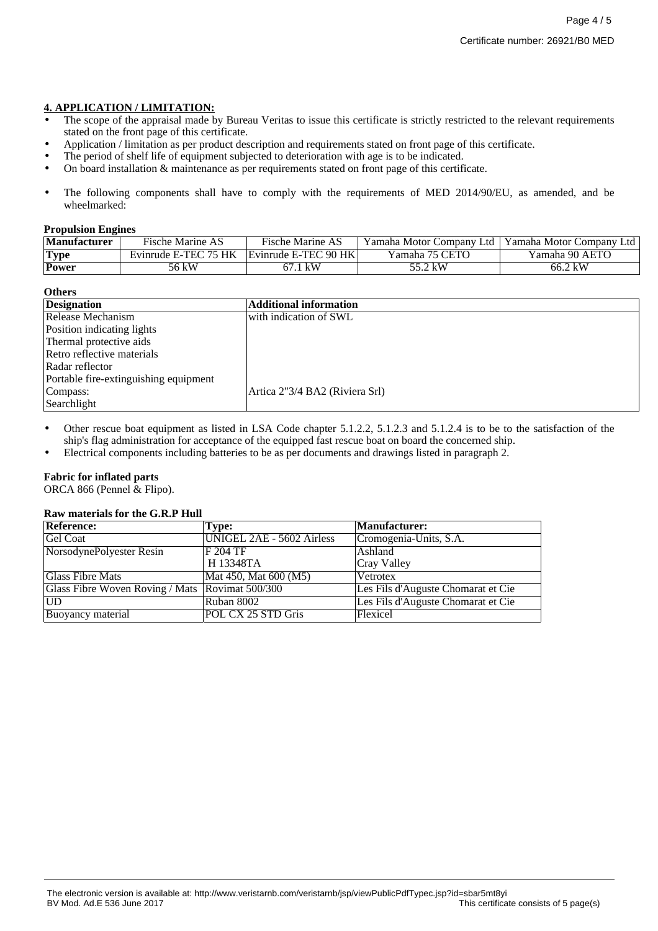# **4. APPLICATION / LIMITATION:**

- The scope of the appraisal made by Bureau Veritas to issue this certificate is strictly restricted to the relevant requirements stated on the front page of this certificate.
- Application / limitation as per product description and requirements stated on front page of this certificate.
- The period of shelf life of equipment subjected to deterioration with age is to be indicated.
- On board installation & maintenance as per requirements stated on front page of this certificate.
- The following components shall have to comply with the requirements of MED 2014/90/EU, as amended, and be wheelmarked:

#### **Propulsion Engines**

| <b>Manufacturer</b> | Fische Marine AS     | <b>Fische Marine AS</b> | Yamaha Motor Company Ltd | Yamaha Motor Company Ltd |
|---------------------|----------------------|-------------------------|--------------------------|--------------------------|
| <b>Type</b>         | Evinrude E-TEC 75 HK | Evinrude E-TEC 90 HK    | Yamaha 75 CETO           | Yamaha 90 AETO           |
| <b>Power</b>        | 56 kW                | kW                      | 55.2 kW                  | 66.2 kW                  |

#### **Others**

| <b>Designation</b>                    | <b>Additional information</b>  |
|---------------------------------------|--------------------------------|
| Release Mechanism                     | with indication of SWL         |
| Position indicating lights            |                                |
| Thermal protective aids               |                                |
| Retro reflective materials            |                                |
| Radar reflector                       |                                |
| Portable fire-extinguishing equipment |                                |
| Compass:                              | Artica 2"3/4 BA2 (Riviera Srl) |
| Searchlight                           |                                |

- Other rescue boat equipment as listed in LSA Code chapter 5.1.2.2, 5.1.2.3 and 5.1.2.4 is to be to the satisfaction of the ship's flag administration for acceptance of the equipped fast rescue boat on board the concerned ship.
- Electrical components including batteries to be as per documents and drawings listed in paragraph 2.

# **Fabric for inflated parts**

ORCA 866 (Pennel & Flipo).

#### **Raw materials for the G.R.P Hull**

| <b>Reference:</b>                               | Type:                     | <b>Manufacturer:</b>               |
|-------------------------------------------------|---------------------------|------------------------------------|
| <b>Gel Coat</b>                                 | UNIGEL 2AE - 5602 Airless | Cromogenia-Units, S.A.             |
| NorsodynePolyester Resin                        | F 204 TF                  | Ashland                            |
|                                                 | H 13348TA                 | <b>Cray Valley</b>                 |
| Glass Fibre Mats                                | Mat 450, Mat 600 (M5)     | Vetrotex                           |
| Glass Fibre Woven Roving / Mats Rovimat 500/300 |                           | Les Fils d'Auguste Chomarat et Cie |
| UD                                              | Ruban 8002                | Les Fils d'Auguste Chomarat et Cie |
| Buoyancy material                               | POL CX 25 STD Gris        | Flexicel                           |